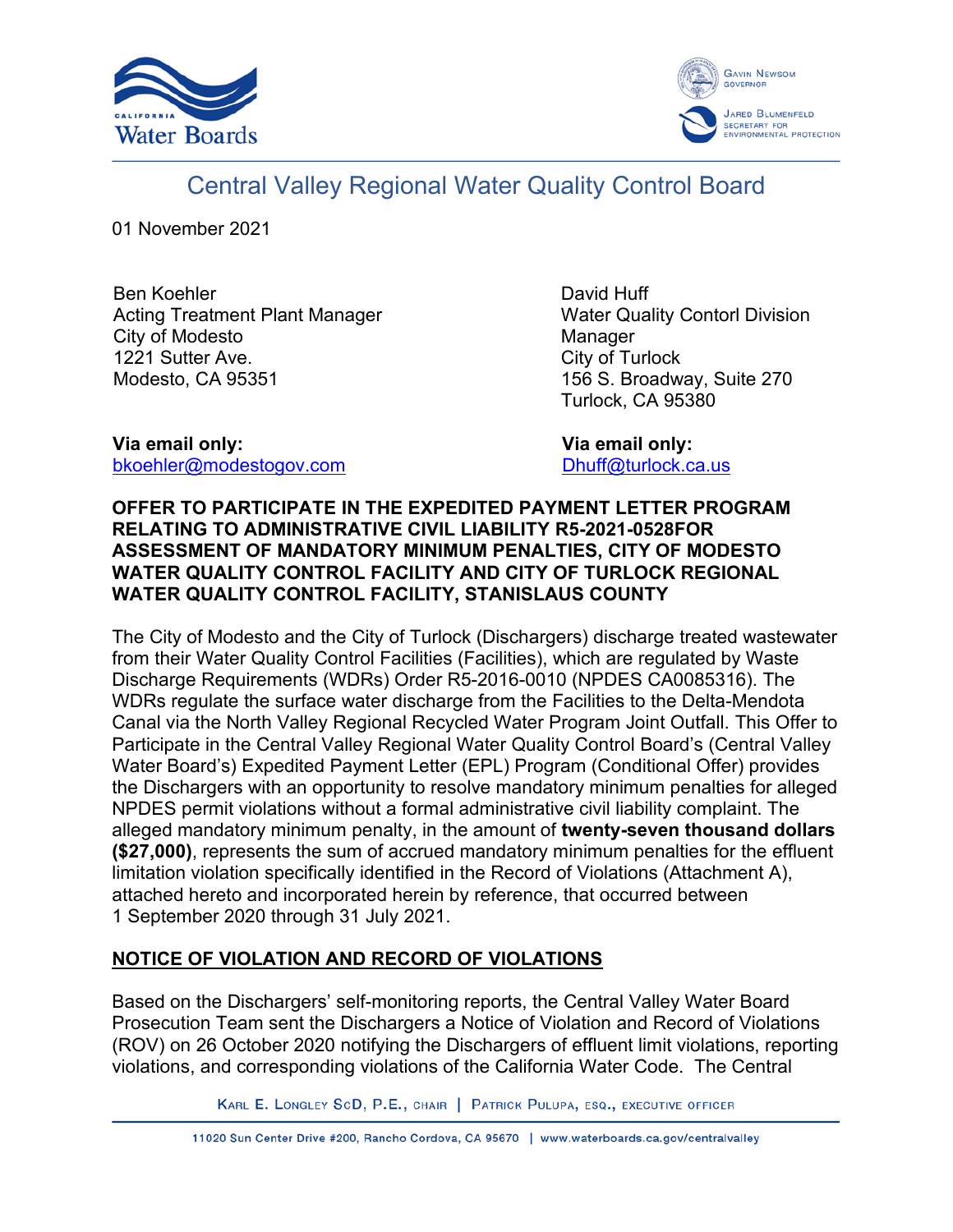



# Central Valley Regional Water Quality Control Board

01 November 2021

Ben Koehler Acting Treatment Plant Manager City of Modesto 1221 Sutter Ave. Modesto, CA 95351

David Huff Water Quality Contorl Division Manager City of Turlock 156 S. Broadway, Suite 270 Turlock, CA 95380

**Via email only:** [bkoehler@modestogov.com](mailto:bkoehler@modestogov.com)  **Via email only:** [Dhuff@turlock.ca.us](mailto:Dhuff@turlock.ca.us)

## **OFFER TO PARTICIPATE IN THE EXPEDITED PAYMENT LETTER PROGRAM RELATING TO ADMINISTRATIVE CIVIL LIABILITY R5-2021-0528FOR ASSESSMENT OF MANDATORY MINIMUM PENALTIES, CITY OF MODESTO WATER QUALITY CONTROL FACILITY AND CITY OF TURLOCK REGIONAL WATER QUALITY CONTROL FACILITY, STANISLAUS COUNTY**

The City of Modesto and the City of Turlock (Dischargers) discharge treated wastewater from their Water Quality Control Facilities (Facilities), which are regulated by Waste Discharge Requirements (WDRs) Order R5-2016-0010 (NPDES CA0085316). The WDRs regulate the surface water discharge from the Facilities to the Delta-Mendota Canal via the North Valley Regional Recycled Water Program Joint Outfall. This Offer to Participate in the Central Valley Regional Water Quality Control Board's (Central Valley Water Board's) Expedited Payment Letter (EPL) Program (Conditional Offer) provides the Dischargers with an opportunity to resolve mandatory minimum penalties for alleged NPDES permit violations without a formal administrative civil liability complaint. The alleged mandatory minimum penalty, in the amount of **twenty-seven thousand dollars (\$27,000)**, represents the sum of accrued mandatory minimum penalties for the effluent limitation violation specifically identified in the Record of Violations (Attachment A), attached hereto and incorporated herein by reference, that occurred between 1 September 2020 through 31 July 2021.

## **NOTICE OF VIOLATION AND RECORD OF VIOLATIONS**

Based on the Dischargers' self-monitoring reports, the Central Valley Water Board Prosecution Team sent the Dischargers a Notice of Violation and Record of Violations (ROV) on 26 October 2020 notifying the Dischargers of effluent limit violations, reporting violations, and corresponding violations of the California Water Code. The Central

KARL E. LONGLEY SCD, P.E., CHAIR | PATRICK PULUPA, ESQ., EXECUTIVE OFFICER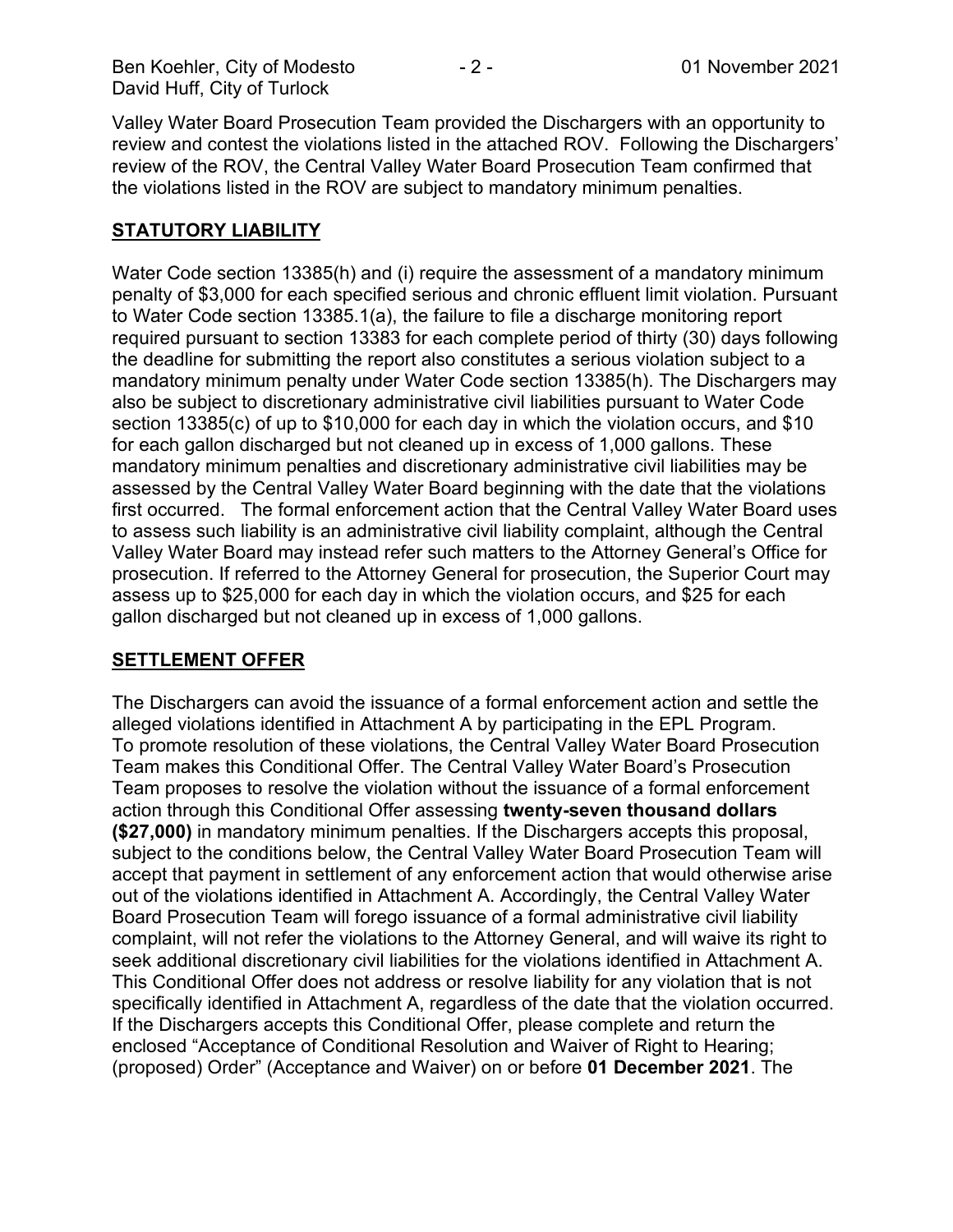Valley Water Board Prosecution Team provided the Dischargers with an opportunity to review and contest the violations listed in the attached ROV. Following the Dischargers' review of the ROV, the Central Valley Water Board Prosecution Team confirmed that the violations listed in the ROV are subject to mandatory minimum penalties.

## **STATUTORY LIABILITY**

Water Code section 13385(h) and (i) require the assessment of a mandatory minimum penalty of \$3,000 for each specified serious and chronic effluent limit violation. Pursuant to Water Code section 13385.1(a), the failure to file a discharge monitoring report required pursuant to section 13383 for each complete period of thirty (30) days following the deadline for submitting the report also constitutes a serious violation subject to a mandatory minimum penalty under Water Code section 13385(h). The Dischargers may also be subject to discretionary administrative civil liabilities pursuant to Water Code section 13385(c) of up to \$10,000 for each day in which the violation occurs, and \$10 for each gallon discharged but not cleaned up in excess of 1,000 gallons. These mandatory minimum penalties and discretionary administrative civil liabilities may be assessed by the Central Valley Water Board beginning with the date that the violations first occurred. The formal enforcement action that the Central Valley Water Board uses to assess such liability is an administrative civil liability complaint, although the Central Valley Water Board may instead refer such matters to the Attorney General's Office for prosecution. If referred to the Attorney General for prosecution, the Superior Court may assess up to \$25,000 for each day in which the violation occurs, and \$25 for each gallon discharged but not cleaned up in excess of 1,000 gallons.

## **SETTLEMENT OFFER**

The Dischargers can avoid the issuance of a formal enforcement action and settle the alleged violations identified in Attachment A by participating in the EPL Program. To promote resolution of these violations, the Central Valley Water Board Prosecution Team makes this Conditional Offer. The Central Valley Water Board's Prosecution Team proposes to resolve the violation without the issuance of a formal enforcement action through this Conditional Offer assessing **twenty-seven thousand dollars (\$27,000)** in mandatory minimum penalties. If the Dischargers accepts this proposal, subject to the conditions below, the Central Valley Water Board Prosecution Team will accept that payment in settlement of any enforcement action that would otherwise arise out of the violations identified in Attachment A. Accordingly, the Central Valley Water Board Prosecution Team will forego issuance of a formal administrative civil liability complaint, will not refer the violations to the Attorney General, and will waive its right to seek additional discretionary civil liabilities for the violations identified in Attachment A. This Conditional Offer does not address or resolve liability for any violation that is not specifically identified in Attachment A, regardless of the date that the violation occurred. If the Dischargers accepts this Conditional Offer, please complete and return the enclosed "Acceptance of Conditional Resolution and Waiver of Right to Hearing; (proposed) Order" (Acceptance and Waiver) on or before **01 December 2021**. The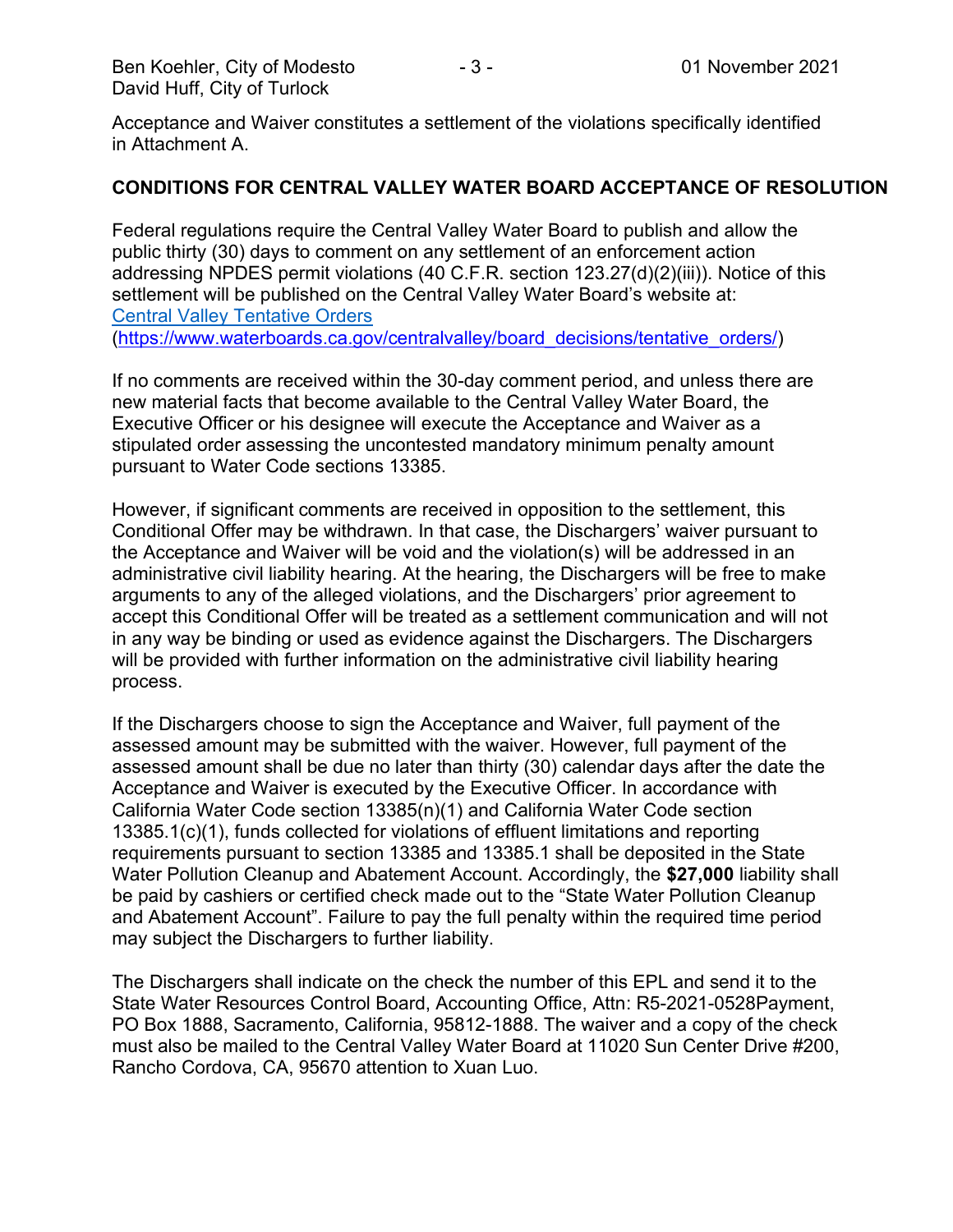Acceptance and Waiver constitutes a settlement of the violations specifically identified in Attachment A.

#### **CONDITIONS FOR CENTRAL VALLEY WATER BOARD ACCEPTANCE OF RESOLUTION**

Federal regulations require the Central Valley Water Board to publish and allow the public thirty (30) days to comment on any settlement of an enforcement action addressing NPDES permit violations (40 C.F.R. section 123.27(d)(2)(iii)). Notice of this settlement will be published on the Central Valley Water Board's website at: [Central Valley Tentative Orders](https://www.waterboards.ca.gov/centralvalley/board_decisions/tentative_orders/) ([https://www.waterboards.ca.gov/centralvalley/board\\_decisions/tentative\\_orders/\)](https://www.waterboards.ca.gov/centralvalley/board_decisions/tentative_orders/)

If no comments are received within the 30-day comment period, and unless there are new material facts that become available to the Central Valley Water Board, the Executive Officer or his designee will execute the Acceptance and Waiver as a stipulated order assessing the uncontested mandatory minimum penalty amount pursuant to Water Code sections 13385.

However, if significant comments are received in opposition to the settlement, this Conditional Offer may be withdrawn. In that case, the Dischargers' waiver pursuant to the Acceptance and Waiver will be void and the violation(s) will be addressed in an administrative civil liability hearing. At the hearing, the Dischargers will be free to make arguments to any of the alleged violations, and the Dischargers' prior agreement to accept this Conditional Offer will be treated as a settlement communication and will not in any way be binding or used as evidence against the Dischargers. The Dischargers will be provided with further information on the administrative civil liability hearing process.

If the Dischargers choose to sign the Acceptance and Waiver, full payment of the assessed amount may be submitted with the waiver. However, full payment of the assessed amount shall be due no later than thirty (30) calendar days after the date the Acceptance and Waiver is executed by the Executive Officer. In accordance with California Water Code section 13385(n)(1) and California Water Code section 13385.1(c)(1), funds collected for violations of effluent limitations and reporting requirements pursuant to section 13385 and 13385.1 shall be deposited in the State Water Pollution Cleanup and Abatement Account. Accordingly, the **\$27,000** liability shall be paid by cashiers or certified check made out to the "State Water Pollution Cleanup and Abatement Account". Failure to pay the full penalty within the required time period may subject the Dischargers to further liability.

The Dischargers shall indicate on the check the number of this EPL and send it to the State Water Resources Control Board, Accounting Office, Attn: R5-2021-0528Payment, PO Box 1888, Sacramento, California, 95812-1888. The waiver and a copy of the check must also be mailed to the Central Valley Water Board at 11020 Sun Center Drive #200, Rancho Cordova, CA, 95670 attention to Xuan Luo.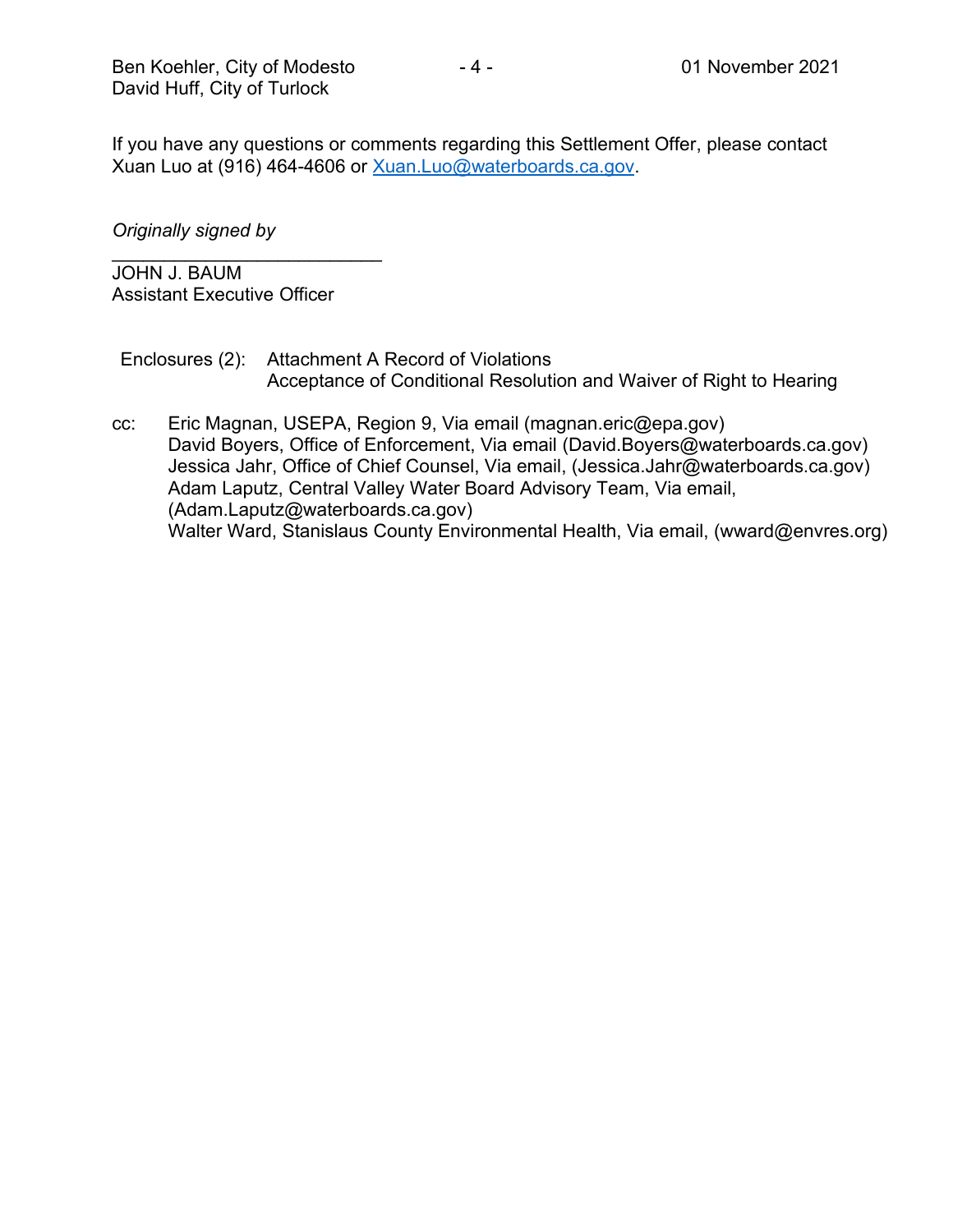If you have any questions or comments regarding this Settlement Offer, please contact Xuan Luo at (916) 464-4606 or [Xuan.Luo@waterboards.ca.gov.](mailto:Xuan.Luo@waterboards.ca.gov)

## *Originally signed by*

\_\_\_\_\_\_\_\_\_\_\_\_\_\_\_\_\_\_\_\_\_\_\_\_\_\_ JOHN J. BAUM Assistant Executive Officer

Enclosures (2): Attachment A Record of Violations Acceptance of Conditional Resolution and Waiver of Right to Hearing

cc: Eric Magnan, USEPA, Region 9, Via email (magnan.eric@epa.gov) David Boyers, Office of Enforcement, Via email (David.Boyers@waterboards.ca.gov) Jessica Jahr, Office of Chief Counsel, Via email, (Jessica.Jahr@waterboards.ca.gov) Adam Laputz, Central Valley Water Board Advisory Team, Via email, (Adam.Laputz@waterboards.ca.gov) Walter Ward, Stanislaus County Environmental Health, Via email, (wward@envres.org)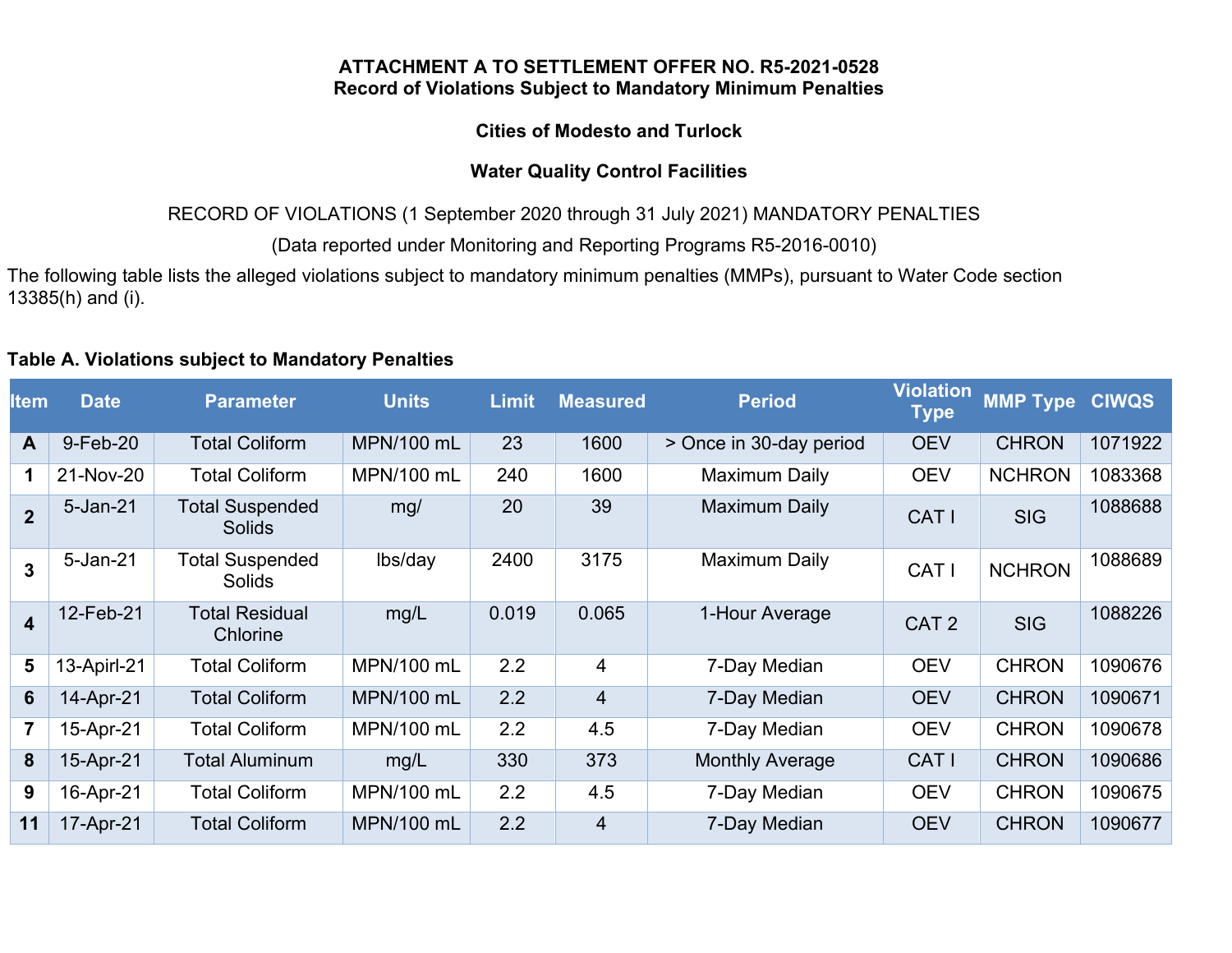#### **ATTACHMENT A TO SETTLEMENT OFFER NO. R5-2021-0528 Record of Violations Subject to Mandatory Minimum Penalties**

## **Cities of Modesto and Turlock**

## **Water Quality Control Facilities**

RECORD OF VIOLATIONS (1 September 2020 through 31 July 2021) MANDATORY PENALTIES

(Data reported under Monitoring and Reporting Programs R5-2016-0010)

The following table lists the alleged violations subject to mandatory minimum penalties (MMPs), pursuant to Water Code section 13385(h) and (i).

## **Table A. Violations subject to Mandatory Penalties**

| <b>Item</b>             | <b>Date</b> | <b>Parameter</b>                        | <b>Units</b>      | <b>Limit</b> | <b>Measured</b> | <b>Period</b>           | <b>Violation</b><br><b>Type</b> | <b>MMP Type</b> | <b>CIWQS</b> |
|-------------------------|-------------|-----------------------------------------|-------------------|--------------|-----------------|-------------------------|---------------------------------|-----------------|--------------|
| $\mathsf{A}$            | 9-Feb-20    | <b>Total Coliform</b>                   | MPN/100 mL        | 23           | 1600            | > Once in 30-day period | <b>OEV</b>                      | <b>CHRON</b>    | 1071922      |
| 1                       | 21-Nov-20   | <b>Total Coliform</b>                   | MPN/100 mL        | 240          | 1600            | <b>Maximum Daily</b>    | <b>OEV</b>                      | <b>NCHRON</b>   | 1083368      |
| $\overline{2}$          | 5-Jan-21    | <b>Total Suspended</b><br><b>Solids</b> | mg/               | 20           | 39              | Maximum Daily           | CAT I                           | <b>SIG</b>      | 1088688      |
| $\overline{3}$          | 5-Jan-21    | <b>Total Suspended</b><br><b>Solids</b> | lbs/day           | 2400         | 3175            | Maximum Daily           | CAT I                           | <b>NCHRON</b>   | 1088689      |
| $\overline{\mathbf{4}}$ | 12-Feb-21   | <b>Total Residual</b><br>Chlorine       | mg/L              | 0.019        | 0.065           | 1-Hour Average          | CAT <sub>2</sub>                | <b>SIG</b>      | 1088226      |
| 5                       | 13-Apirl-21 | <b>Total Coliform</b>                   | MPN/100 mL        | 2.2          | 4               | 7-Day Median            | <b>OEV</b>                      | <b>CHRON</b>    | 1090676      |
| 6                       | 14-Apr-21   | <b>Total Coliform</b>                   | <b>MPN/100 mL</b> | 2.2          | $\overline{4}$  | 7-Day Median            | <b>OEV</b>                      | <b>CHRON</b>    | 1090671      |
| $\overline{7}$          | 15-Apr-21   | <b>Total Coliform</b>                   | MPN/100 mL        | 2.2          | 4.5             | 7-Day Median            | <b>OEV</b>                      | <b>CHRON</b>    | 1090678      |
| 8                       | 15-Apr-21   | <b>Total Aluminum</b>                   | mg/L              | 330          | 373             | <b>Monthly Average</b>  | CAT I                           | <b>CHRON</b>    | 1090686      |
| 9                       | 16-Apr-21   | <b>Total Coliform</b>                   | MPN/100 mL        | 2.2          | 4.5             | 7-Day Median            | <b>OEV</b>                      | <b>CHRON</b>    | 1090675      |
| 11                      | 17-Apr-21   | <b>Total Coliform</b>                   | MPN/100 mL        | 2.2          | $\overline{4}$  | 7-Day Median            | <b>OEV</b>                      | <b>CHRON</b>    | 1090677      |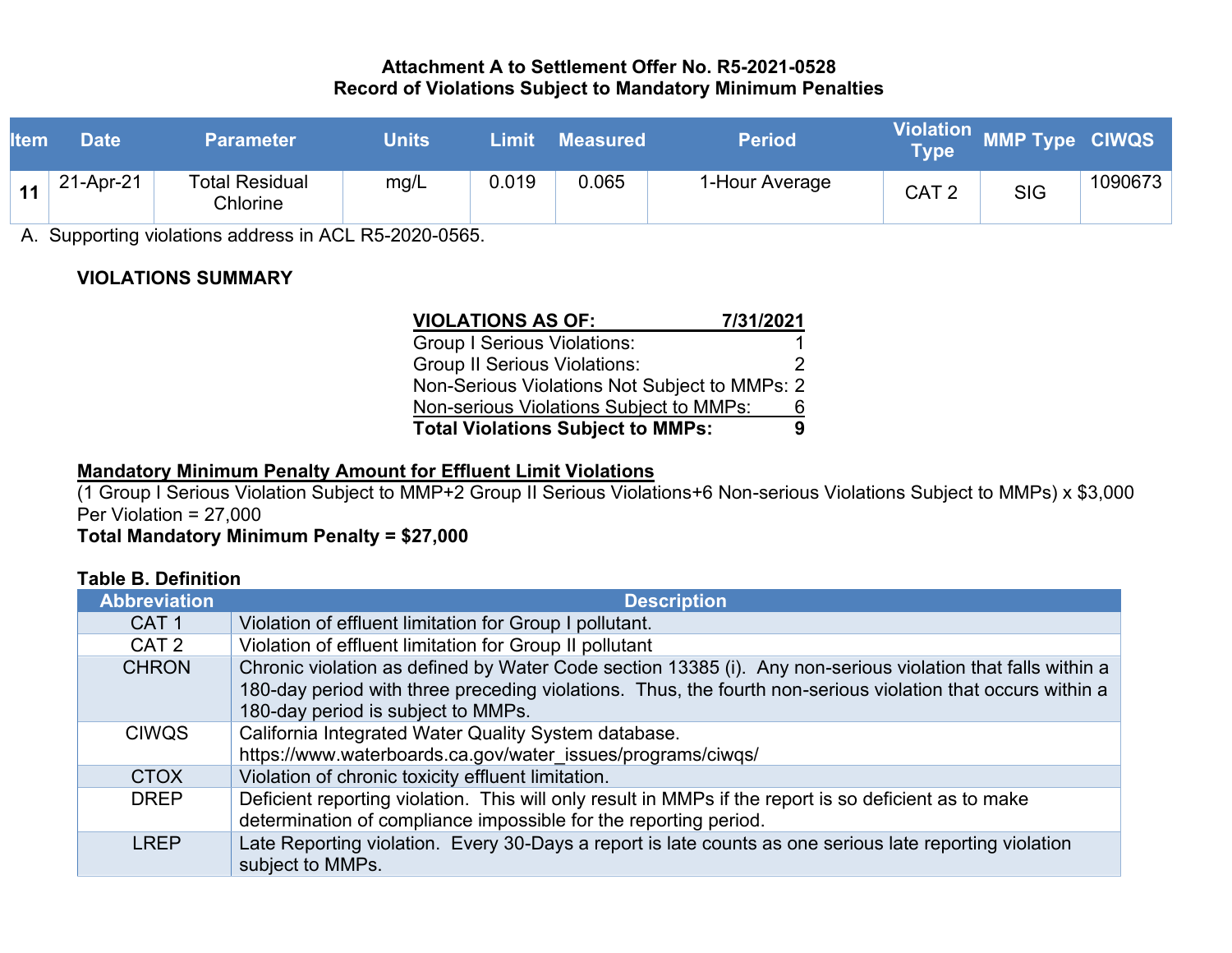### **Attachment A to Settlement Offer No. R5-2021-0528 Record of Violations Subject to Mandatory Minimum Penalties**

| <b>Item</b> | <b>Date</b> | <b>Parameter</b>           | <b>Units</b> | Limit | <b>Measured</b> | <b>Period</b>  | $\mathsf{I}\mathsf{V}\mathsf{p}\mathsf{e}^\mathsf{t}$ | Violation MMP Type CIWQS |         |
|-------------|-------------|----------------------------|--------------|-------|-----------------|----------------|-------------------------------------------------------|--------------------------|---------|
| 11          | 21-Apr-21   | Total Residual<br>Chlorine | mg/L         | 0.019 | 0.065           | 1-Hour Average | CAT <sub>2</sub>                                      | <b>SIG</b>               | 1090673 |

A. Supporting violations address in ACL R5-2020-0565.

# **VIOLATIONS SUMMARY**

| <b>VIOLATIONS AS OF:</b>                      | 7/31/2021 |
|-----------------------------------------------|-----------|
| <b>Group I Serious Violations:</b>            |           |
| <b>Group II Serious Violations:</b>           |           |
| Non-Serious Violations Not Subject to MMPs: 2 |           |
| Non-serious Violations Subject to MMPs:       |           |
| <b>Total Violations Subject to MMPs:</b>      |           |

## **Mandatory Minimum Penalty Amount for Effluent Limit Violations**

(1 Group I Serious Violation Subject to MMP+2 Group II Serious Violations+6 Non-serious Violations Subject to MMPs) x \$3,000 Per Violation = 27,000

**Total Mandatory Minimum Penalty = \$27,000**

## **Table B. Definition**

| <b>Abbreviation</b> | <b>Description</b>                                                                                                                                                                                                                                               |  |  |  |  |
|---------------------|------------------------------------------------------------------------------------------------------------------------------------------------------------------------------------------------------------------------------------------------------------------|--|--|--|--|
| CAT <sub>1</sub>    | Violation of effluent limitation for Group I pollutant.                                                                                                                                                                                                          |  |  |  |  |
| CAT <sub>2</sub>    | Violation of effluent limitation for Group II pollutant                                                                                                                                                                                                          |  |  |  |  |
| <b>CHRON</b>        | Chronic violation as defined by Water Code section 13385 (i). Any non-serious violation that falls within a<br>180-day period with three preceding violations. Thus, the fourth non-serious violation that occurs within a<br>180-day period is subject to MMPs. |  |  |  |  |
| <b>CIWQS</b>        | California Integrated Water Quality System database.<br>https://www.waterboards.ca.gov/water_issues/programs/ciwqs/                                                                                                                                              |  |  |  |  |
| <b>CTOX</b>         | Violation of chronic toxicity effluent limitation.                                                                                                                                                                                                               |  |  |  |  |
| <b>DREP</b>         | Deficient reporting violation. This will only result in MMPs if the report is so deficient as to make<br>determination of compliance impossible for the reporting period.                                                                                        |  |  |  |  |
| <b>LREP</b>         | Late Reporting violation. Every 30-Days a report is late counts as one serious late reporting violation<br>subject to MMPs.                                                                                                                                      |  |  |  |  |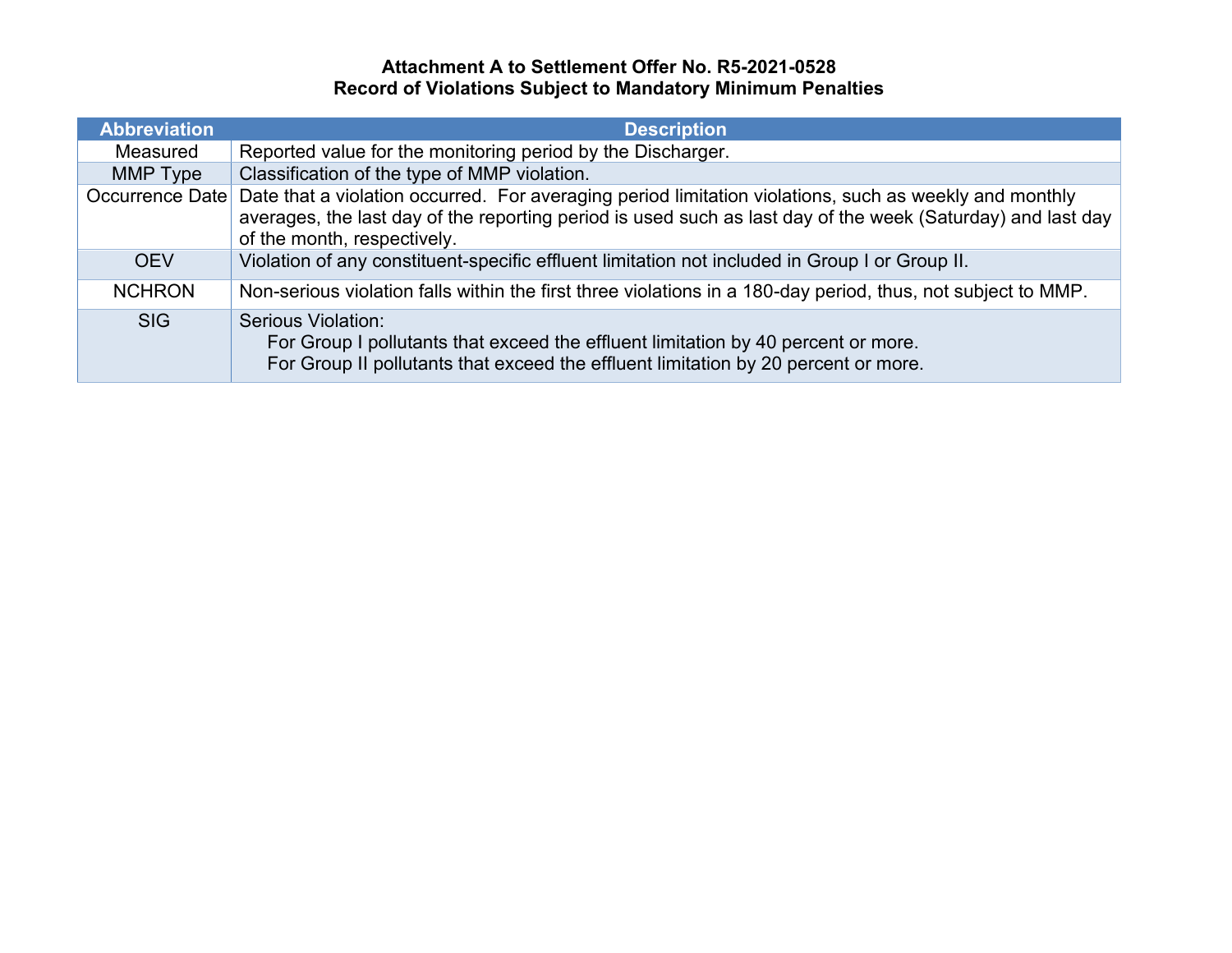## **Attachment A to Settlement Offer No. R5-2021-0528 Record of Violations Subject to Mandatory Minimum Penalties**

| <b>Abbreviation</b> | <b>Description</b>                                                                                                                                                                                                                                                   |  |  |  |  |
|---------------------|----------------------------------------------------------------------------------------------------------------------------------------------------------------------------------------------------------------------------------------------------------------------|--|--|--|--|
| Measured            | Reported value for the monitoring period by the Discharger.                                                                                                                                                                                                          |  |  |  |  |
| MMP Type            | Classification of the type of MMP violation.                                                                                                                                                                                                                         |  |  |  |  |
|                     | Occurrence Date Date that a violation occurred. For averaging period limitation violations, such as weekly and monthly<br>averages, the last day of the reporting period is used such as last day of the week (Saturday) and last day<br>of the month, respectively. |  |  |  |  |
| <b>OEV</b>          | Violation of any constituent-specific effluent limitation not included in Group I or Group II.                                                                                                                                                                       |  |  |  |  |
| <b>NCHRON</b>       | Non-serious violation falls within the first three violations in a 180-day period, thus, not subject to MMP.                                                                                                                                                         |  |  |  |  |
| <b>SIG</b>          | Serious Violation:<br>For Group I pollutants that exceed the effluent limitation by 40 percent or more.<br>For Group II pollutants that exceed the effluent limitation by 20 percent or more.                                                                        |  |  |  |  |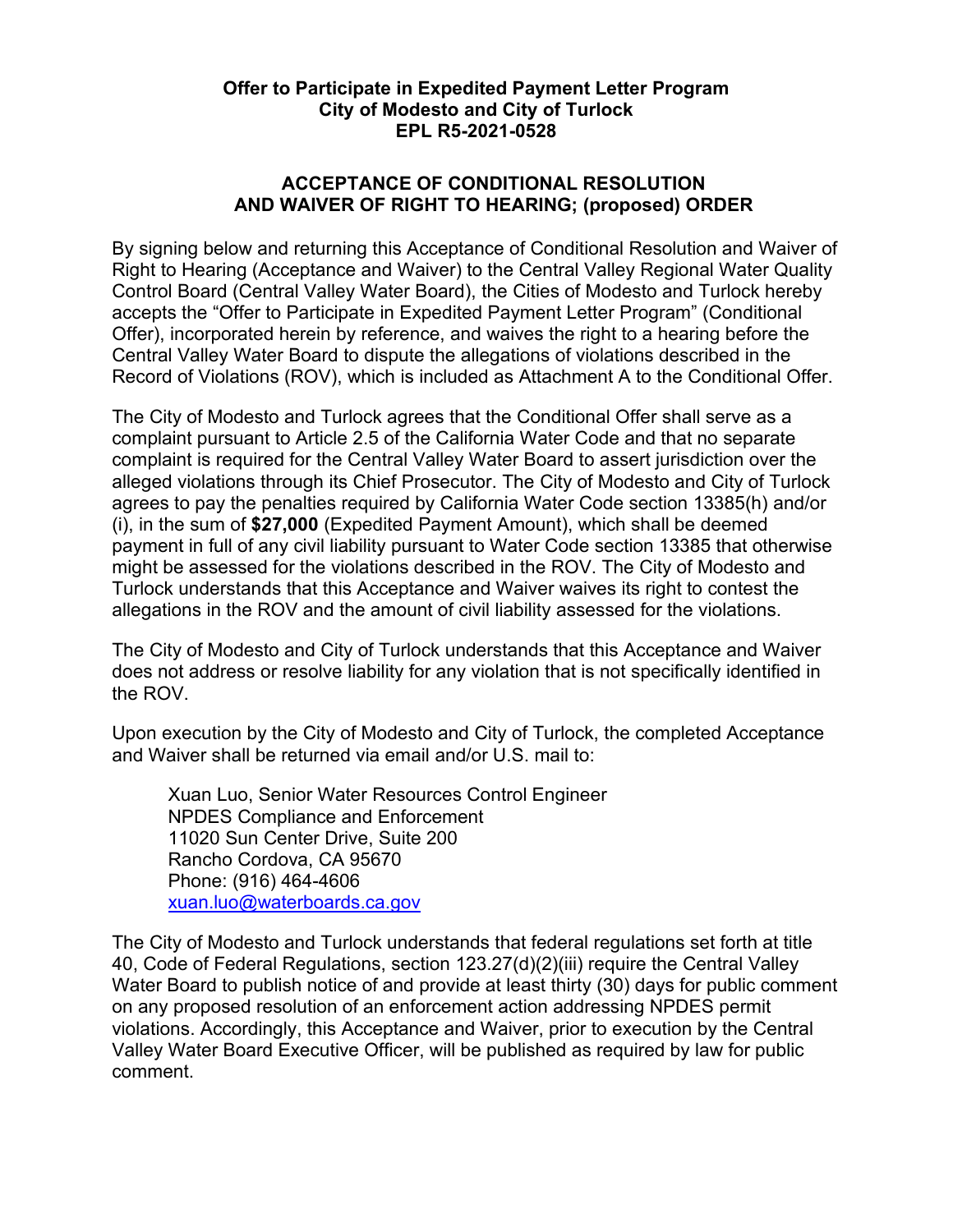## **Offer to Participate in Expedited Payment Letter Program City of Modesto and City of Turlock EPL R5-2021-0528**

## **ACCEPTANCE OF CONDITIONAL RESOLUTION AND WAIVER OF RIGHT TO HEARING; (proposed) ORDER**

By signing below and returning this Acceptance of Conditional Resolution and Waiver of Right to Hearing (Acceptance and Waiver) to the Central Valley Regional Water Quality Control Board (Central Valley Water Board), the Cities of Modesto and Turlock hereby accepts the "Offer to Participate in Expedited Payment Letter Program" (Conditional Offer), incorporated herein by reference, and waives the right to a hearing before the Central Valley Water Board to dispute the allegations of violations described in the Record of Violations (ROV), which is included as Attachment A to the Conditional Offer.

The City of Modesto and Turlock agrees that the Conditional Offer shall serve as a complaint pursuant to Article 2.5 of the California Water Code and that no separate complaint is required for the Central Valley Water Board to assert jurisdiction over the alleged violations through its Chief Prosecutor. The City of Modesto and City of Turlock agrees to pay the penalties required by California Water Code section 13385(h) and/or (i), in the sum of **\$27,000** (Expedited Payment Amount), which shall be deemed payment in full of any civil liability pursuant to Water Code section 13385 that otherwise might be assessed for the violations described in the ROV. The City of Modesto and Turlock understands that this Acceptance and Waiver waives its right to contest the allegations in the ROV and the amount of civil liability assessed for the violations.

The City of Modesto and City of Turlock understands that this Acceptance and Waiver does not address or resolve liability for any violation that is not specifically identified in the ROV.

Upon execution by the City of Modesto and City of Turlock, the completed Acceptance and Waiver shall be returned via email and/or U.S. mail to:

Xuan Luo, Senior Water Resources Control Engineer NPDES Compliance and Enforcement 11020 Sun Center Drive, Suite 200 Rancho Cordova, CA 95670 Phone: (916) 464-4606 [xuan.luo@waterboards.ca.gov](mailto:xuan.luo@waterboards.ca.gov)

The City of Modesto and Turlock understands that federal regulations set forth at title 40, Code of Federal Regulations, section 123.27(d)(2)(iii) require the Central Valley Water Board to publish notice of and provide at least thirty (30) days for public comment on any proposed resolution of an enforcement action addressing NPDES permit violations. Accordingly, this Acceptance and Waiver, prior to execution by the Central Valley Water Board Executive Officer, will be published as required by law for public comment.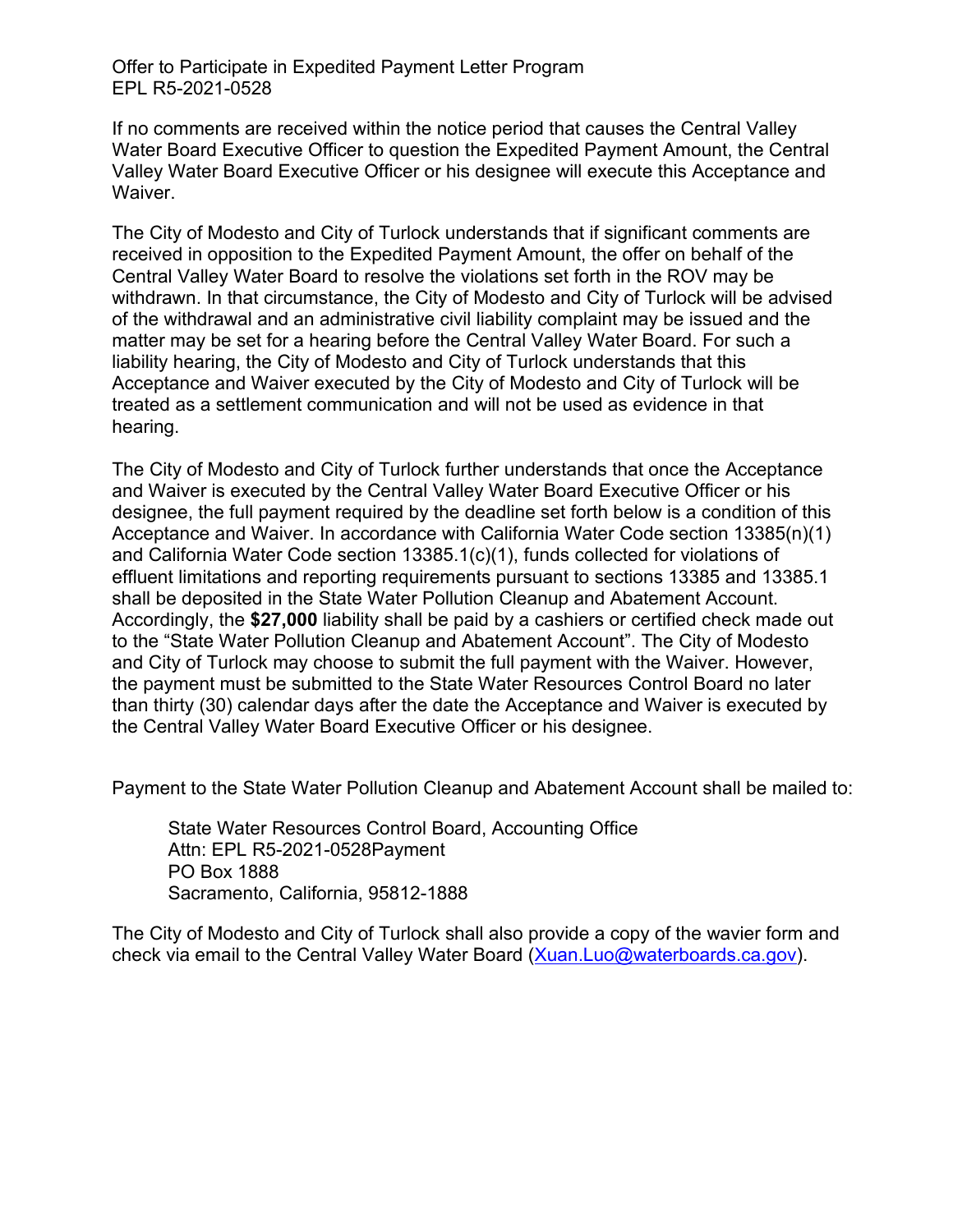Offer to Participate in Expedited Payment Letter Program EPL R5-2021-0528

If no comments are received within the notice period that causes the Central Valley Water Board Executive Officer to question the Expedited Payment Amount, the Central Valley Water Board Executive Officer or his designee will execute this Acceptance and Waiver.

The City of Modesto and City of Turlock understands that if significant comments are received in opposition to the Expedited Payment Amount, the offer on behalf of the Central Valley Water Board to resolve the violations set forth in the ROV may be withdrawn. In that circumstance, the City of Modesto and City of Turlock will be advised of the withdrawal and an administrative civil liability complaint may be issued and the matter may be set for a hearing before the Central Valley Water Board. For such a liability hearing, the City of Modesto and City of Turlock understands that this Acceptance and Waiver executed by the City of Modesto and City of Turlock will be treated as a settlement communication and will not be used as evidence in that hearing.

The City of Modesto and City of Turlock further understands that once the Acceptance and Waiver is executed by the Central Valley Water Board Executive Officer or his designee, the full payment required by the deadline set forth below is a condition of this Acceptance and Waiver. In accordance with California Water Code section 13385(n)(1) and California Water Code section 13385.1(c)(1), funds collected for violations of effluent limitations and reporting requirements pursuant to sections 13385 and 13385.1 shall be deposited in the State Water Pollution Cleanup and Abatement Account. Accordingly, the **\$27,000** liability shall be paid by a cashiers or certified check made out to the "State Water Pollution Cleanup and Abatement Account". The City of Modesto and City of Turlock may choose to submit the full payment with the Waiver. However, the payment must be submitted to the State Water Resources Control Board no later than thirty (30) calendar days after the date the Acceptance and Waiver is executed by the Central Valley Water Board Executive Officer or his designee.

Payment to the State Water Pollution Cleanup and Abatement Account shall be mailed to:

State Water Resources Control Board, Accounting Office Attn: EPL R5-2021-0528Payment PO Box 1888 Sacramento, California, 95812-1888

The City of Modesto and City of Turlock shall also provide a copy of the wavier form and check via email to the Central Valley Water Board ([Xuan.Luo@waterboards.ca.gov\)](mailto:Xuan.Luo@waterboards.ca.gov).